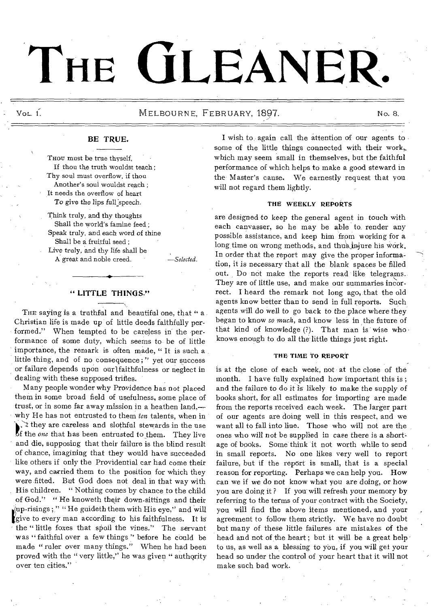# **THE GLEANER**•

# Vol. 1. No. 8. NELBOURNE, FEBRUARY, 1897. No. 8. No. 8.

# BE TRUE.

Thou must be true thyself, If thou the truth wouldst teach; Thy soul must overflow, if thou Another's soul wouldst reach ; It needs the overflow of heart To give the lips full speech.

Think truly, and thy thoughts Shall the world's famine feed ; Speak truly, and each word of thine Shall be a fruitful seed ; Live truly, and thy life shall be

A great and noble creed. *—Selected.* 

#### " LITTLE THINGS."

THE saying is a truthful and beautiful one, that " a. Christian life is made up of little deeds faithfully performed." When tempted to be careless in the performance of some duty, which seems to- be of little importance, the remark is often made, " It is such a little thing, and of no consequence;" yet our success or failure depends upon our lfaithfulness or neglect in dealing with these supposed trifles.

Many people wonder why Providence has not placed them in some broad field of usefulness, some place of trust, or in some far away mission in a heathen land, why He has not entrusted to them *ten* talents, when in  $\lambda$  they are careless and slothful stewards in the use of the *one* that has been entrusted to them. They live f the *one* that has been entrusted to them. They live and die, supposing that their failure is the blind result of chance, imagining that they would have succeeded like others if only the Providential car had come their way, and carried them to the position for which they were fitted. But God does not deal in that way with His children. " Nothing comes by chance to the child of God." " He knoweth their down-sittings and their give to every man according to his faithfulness. It is  $\mu$ up-risings;" "He guideth them with His eye," and will the " little foxes that spoil the vines." The servant was "faithful over a few things" before he could be made "ruler over many things." When he had been proved with the " very little," he was given " authority over ten cities."

I wish to again call the attention of our agents to some of the little things connected with their work,. which may seem small in themselves, but the faithful performance of which helps to make a good steward in the Master's cause. We earnestly request that you will not regard them lightly.

#### THE WEEKLY REPORTS

are designed to keep the general agent in touch with each canvasser, so he may be able to, render any possible assistance, and keep him from working for a long time on wrong methods, and thus injure his work. In order that the report may give the proper information, it is necessary that all the blank spaces be filled out. Do not make the reports read like telegrams. They are of little use, and make our summaries incorrect. I heard the remark not long ago, that the old agents know better than to send in full reports. Such agents will do well to go back to the place where they began to know *so much,* and know less in the future of that kind of knowledge (?). That man is wise who knows enough to do all the little things just right.

#### THE TIME TO REPORT

is at the close of each week, not at the close of the month. I have fully explained how important this is ; and the failure to do it is likely to make the supply of books short, for all estimates for importing are made from the reports received each week. The larger part of our agents are doing well in this respect, and we want all to fall into line. Those who will not are the ones who will not be supplied in case there is a shortage of books. Some think it not worth while to send in small reports. No one likes very well to report failure, but if the report is small, that is a special reason for reporting. Perhaps we can help you. How can we if we do not know what you are doing, or how you are doing it ? If you will refresh your memory by referring to the terms of your contract with the Society, you will find the above items mentioned, and your agreement to follow them strictly. We have no doubt but many of these little failures are mistakes of the head and not of the heart; but it will be a great help to us, as well as a blessing to you, if you will get your head so under the control of your heart that it will not make such bad work.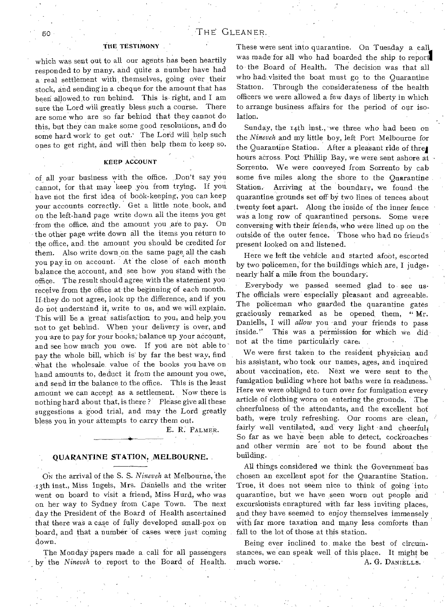#### THE TESTIMONY

which was sent out to all our agents has been heartily responded to by many, and quite a number have had a real settlement with, themselves, going over their stock, and sending in a cheque for the amount that has been allowed to run behind. This is right, and I am sure the Lord will greatly bless such a course. There are some who are so far behind that they cannot do this, but they can make some good resolutions, and do some hard work to get out.' The Lord will help such ones to get right, and will then help them to keep so.

### KEEP ACCOUNT

of all your business with the office. , Don't say you cannot, for that may keep you from trying. If you have not the first idea of book-keeping, you can keep Your accounts correctly. Get a little note, book, and on the left-hand page write down all the items you get from the office, and the amount you are to pay. On the other page write down all the items you return to the office, and, the amount you should be credited for them. Also write down on the same page all the cash you pay in on account. At the close of each month balance the, account, and see 'how you Stand with the office. The result should agree with the statement you receive from the office at' the beginning of each month. If they do not agree, look up the difference, and if you do not understand it, write to us, and we will explain. This will be a 'great satisfaction to you, and help,you not to get behind. When your delivery is over, and you are to pay for your books, balance up your account, and see how much you owe. If you are not able to pay the whole bill, which is' by far the best way, find what the wholesale, value of the books you have on hand amounts to, deduct it from the amount you owe, and send in the balance to the office. This is the least amount we can accept as a settlement. Now there is nothing hard about that, is there? Please give all these suggestions a good trial, and may the Lord greatly bless you in your attempts to carry them out.

E. R. PALMER.

#### , QUARANTINE STATION, MELBOURNE.

ON the arrival of the S. S. *Nineveh* at Melbourne, 'the z3th inst., Miss Ingels, Mrs. Daniells and 'the writer went on board to visit a friend, Miss Hurd, who was on her way to Sydney from Cape Town. The next day the President of the Board of Health ascertained that there was a case of fully developed small-pox 'on board, and that a number of cases were just coming down.

The Monday papers made a call for all passengers ' by the *Nineveh* to report to the Board of Health. These were sent into quarantine. On Tuesday a call was made for all who had boarded the ship to report to the Board of Health. The decision was that all who had, visited the boat must go to the Quarantine Station. Through the considerateness of the health officers we were allowed a few days of liberty in which to arrange business affairs for the period of our isolation.

Sunday, the  $14th$  inst., we three who had been on the *Nineveh* and my little boy, left Port Melbourne for the Quarantine Station. After a pleasant ride of threl hours across. Port Phillip Bay, we were sent ashore at Sorrento. We were conveyed from Sorrento by cab some five miles along the shore to the Quarantine Station. Arriving at the boundary, we found the quarantine grounds set off by two lines of fences about twenty feet apart. Along the inside of the inner fence was a long row of quarantined persons. Some were conversing with their friends, who were lined up on the outside of the outer fence. Those who had no friends present looked on and listened.

Here we left the vehicle and started afoot, escorted by two policemen, for the buildings which are, I judge, nearly' half a mile from the boundary.

Everybody we passed seemed glad to see us• The officials were especially pleasant and agreeable. The policeman who guarded the quarantine gates graciously remarked as he opened, them, " Mr. Daniells, I will *allow* you 'and your friends to pass inside." This was a permission for which we did not at the time particularly care,

We were first taken to the resident physician and his assistant, who took our names, ages, and inquired about vaccination, etc. Next we were sent to the fumigation building where hot baths were in readiness. Here we were obliged to turn over for fumigation every article of clothing worn on entering the grounds. The cheerfulness of the attendants, and the excellent hot bath, were truly refreshing. Our rooms are clean, fairly well ventilated, and very light and cheerful, So far as we have been able to detect, cockroaches and other vermin are not to be found about the building.

All things considered we think the Government has chosen an excellent spot for the Quarantine Station. True, it does not seem nice to think of going into quarantine, but we have seen worn out people and excursionists enraptured with far less inviting places, and they have seemed to enjoy themselves immensely with far more taxation and many less comforts than fall to the lot of those at this station.

Being ever inclined to make the best of circumstances, we can speak well of this place. It might be much worse. A, G. DANIELLS.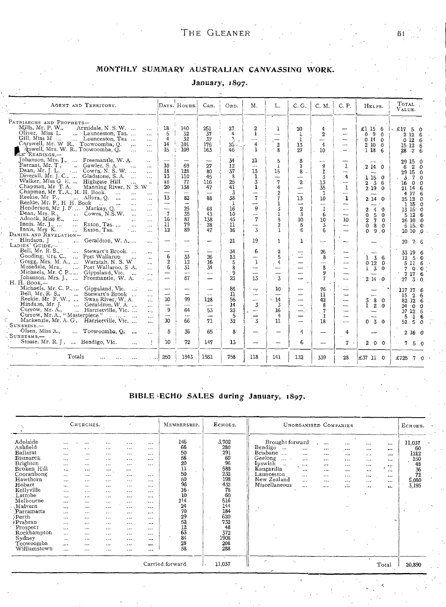# THE GLEANER 51

# MONTHLY SUMMARY AUSTRALIAN CANVASSING WORK.

#### AGENT AND TERRITORY. DAYS. HOURS. Can. | ORD. M. | L. | C. G. | C. M. | C. P. | HELPS. | TOTAL VALUE. PATRIARCHS AND PROPRETS—<br>
Mills, Mr. P. W., Armidale, N. S. W. ... .... | 18 | 140 | 251 | 27 | 2 | 1 | 20 | 4 | - | £1 15 6 | £17 5 0<br>
Oliver, Miss L. .... Launceston, Tas ... .... | 5 | 32 | 37 | 3 | 4 |  $\frac{1}{1}$  |  $\frac$  $\frac{14}{12} + \frac{101}{101} + \frac{176}{102} + \frac{25}{102} + \frac{4}{101} + \frac{211}{101} + \frac{13}{101} + \frac{4}{101} + \cdots$  2 10 0 15 12 6  $\overline{15}$  i  $\overline{109}$   $\overline{163}$   $\overline{165}$   $\overline{46}$   $\overline{11}$   $\overline{8}$   $\overline{27}$   $\overline{27}$   $\overline{10}$   $\overline{10}$   $\overline{10}$   $\overline{6}$   $\overline{128}$   $\overline{6}$   $\overline{28}$   $\overline{47}$   $\overline{6}$ Johanson, Mrs. J., ... Preemantle, W. A. Farrant, Mr. T , Gawler, S. A. 10 69 6 2 0 Dean, Mr. j. L. , Cowra, N. S. W. . 18 128 80 37 13 15 8 29 15 0 Diverall, Mr. J. C., ... Gladstone, S. A. ... 13 110 45 8 1 I 4 1 15 0 3 , 7 0 Walker, Miss G B.... Highgate Hill ... 16 77 116 i 25 3 7 2 .13 2 3 6 16 0,0 - Chapman, Mr T. A. Manning River, N S. W 20 138 47 t 41 1 4 35 2 19 0 21 14 6 34 21  $\begin{array}{|c|c|c|c|c|c|} \hline 21 & 5 & 8 \\ \hline \end{array}$  $\begin{array}{r} 29 \ 15 \ 6 \ 2 \ 9 \ 15 \ 0 \ 0 \ 29 \ 15 \ 3 \ 7 \ 0 \ 0 \ 0 \ 6 \ 21 \ 14 \ 4 \ 17 \ 25 \ 12 \ 15 \ 13 \ 15 \ 15 \ 0 \ 0 \end{array}$  $\begin{array}{c|cc} 27 & 12 \\ 80 & 37 \\ 45 & 8 \\ 116 & 25 \\ 47 & 41 \end{array}$  $\begin{array}{c|c|c|c}\n9 & 1 & 2 & 14 & 0 \\
\hline\n1 & - & 4 & 15 & 0\n\end{array}$ Chapman, Mr. T. A., H. H. Book.<br>
Reekie, Mr P., H. H. Book.<br>
Reekie, Mr P., H. H. Book.<br>
Reekie, Mr. P., H. H. Book.<br>
Reekie, Mr. P., H. H. Book.<br>
Mr. J. F. Mackay, Q.<br>
Menderson, Mr. J. F. Mackay, Q.<br>
Dean, Mrs. R., ... Adcock, Miss E., ... 16 87 138 45 7 10 10 10 , 2 7 0 26 10 0 Innis. Mr. J., ... Exton, Tas. 11 79 28 11 2 5 3 0 8 0 6 15..0 Innis, Mrs K. ... Exton, Tas. 12 89 47 16 3 1 6 6 0 9 10 10 ,0 *DANIEL* AND *REVELATION— '* Hindson, Geraldton, W. A LADIES' GUIDE,— Bell, Mr. R. S., - Stewart's Brook. 34 6 2 26 33 19 6 Gooding, Mrs. C., ... Port Wallaroo 6 33 26 13 5 8 1 3 6 12 5' 0 Gregg, Mrs. *M.* A., ... Waratah, N. S. W Mosedale, Mrs., ... Port Wallaroo, S A. 7 0 0 Michaels, Mr. C P., ... Gippsland,Vic. 9 9 7 17 6 Johanson, Mrs. J., ... Freethantle, W. A. H. H. Book — Michaels, Mr. C. P., Gippsland, Vic. .. 86 10 76 117 17 '6 Bell, Mr, S.; ... Stewart's Brook ... 11 11 15 2 6 Reside, Mr F. W., ... Swan River,-W. A. 10 99 128 56 14 42 3 8 0 82 12 6 Hinds.on, *Mr. J. ...* Geraldron, W. A. ... 14 3 3 8 1 2 0 24 '0 0 Currow, Mr. A., ... Harrietville, Vic.... 94 53 23 16 7 37 12 6 Currow, Mr. A., " Masterpiece " 5 4 5 -1 6 Mackenzie, Mr. A. G , Harrietville, Vic. ... SUNSHINE,— Olsen, **Miss A.,** Toowoomba, Q. •  $21 \left| 19 \left| 1 \right| 1 \right| = \left| 1 - \left| - \right| 20 \left| 7 \right| 6 \right|$  $\ddot{\phantom{a}}$  $\begin{array}{cccc} 33 & 19 & 6 \\ 12 & 5 & 0 \\ 5 & 11 & 6 \\ 7 & 0 & 0 \\ 7 & 17 & 6 \end{array}$  $\frac{33}{12}$  $\frac{26}{16}$  $\frac{6}{2}$  $\begin{smallmatrix}1&3\0&12\1&3\end{smallmatrix}$  $\frac{1}{1}$ 5 a 0 12 0<br>1 3 0  $\frac{6}{1}$ 31  $\frac{34}{-}$ 8<br>9<br>7  $87$   $23$   $13$   $3$   $1$   $7$   $214$  0  $27$   $3$  0.  $10 \div 66$  71  $32 \div 3$  11  $-$  18  $-$  0 3 0 52.5 0 SUNSHINE,-<br>Olsen, Miss A.,<br>SUNBEAMS,-- $\ddotsc$ 5 36 65 8 4 2 16 0 Stoate, Mr. R. J., ... Bendigo, Vic. ... : | 10 | 72 | 147 | 13 | - | - | 6 | - | 7 | 200 | 75 0 Totals 250 1843 1931 758 118 141 I 132 339 28 £37 13: 0 £725 7 0

#### January, 1897.

#### BIBLE .ECHO SALES during January, 1897.

| it is g                                                                                                                                                                                                                                                           | CHURCHES.                                                                                                                                                                                                                                  |                                                                                                                                                                                                                         |                                                                                                                                                                                                                   |                                                                                                                                                                                                          |                                                                                                                                                                                              | MEMBERSHIP.                                                                                                                              | ECHOES.                                                                                                                                             | <b>UNORGANISED COMPANIES</b>                                                                                                                                                                                                                                                                                                                                                                                                                                                                                                                                      | ECHOES.                                                                                                         |
|-------------------------------------------------------------------------------------------------------------------------------------------------------------------------------------------------------------------------------------------------------------------|--------------------------------------------------------------------------------------------------------------------------------------------------------------------------------------------------------------------------------------------|-------------------------------------------------------------------------------------------------------------------------------------------------------------------------------------------------------------------------|-------------------------------------------------------------------------------------------------------------------------------------------------------------------------------------------------------------------|----------------------------------------------------------------------------------------------------------------------------------------------------------------------------------------------------------|----------------------------------------------------------------------------------------------------------------------------------------------------------------------------------------------|------------------------------------------------------------------------------------------------------------------------------------------|-----------------------------------------------------------------------------------------------------------------------------------------------------|-------------------------------------------------------------------------------------------------------------------------------------------------------------------------------------------------------------------------------------------------------------------------------------------------------------------------------------------------------------------------------------------------------------------------------------------------------------------------------------------------------------------------------------------------------------------|-----------------------------------------------------------------------------------------------------------------|
| Adelaide<br>Ashfield<br>Ballarat<br>Bismarck<br>Brighton<br>Broken Hill<br>Cooranbong<br>Hawthorn<br>Hobart<br>Kellyville<br>Latrobe<br>Melbourne<br>Malvern<br>Parramatta<br>∕Perth<br>Prahran<br>Prospect<br>Rockhampton<br>Sydney<br>Toowoomba<br>Williamstown | $\cdots$<br><br>$\cdots$<br>$\cdots$<br>$\cdots$<br><br>$\cdots$<br>$\cdots$<br><br>$\cdots$<br>$\cdots$<br>$\cdots$<br>$\cdots$<br>$\cdots$<br>$\cdots$<br>$\cdots$<br>$\cdots$<br>$\cdots$<br>$\cdots$<br>$\sim$<br>$\cdots$<br>$\cdots$ | $\cdots$<br>$\cdots$<br>$\cdot$<br>$\cdots$<br><br><br>$\cdots$<br>$\cdots$<br>$\cdots$<br>$\cdots$<br>$\cdots$<br>$\cdots$<br><br><br>$\cdots$<br>$\cdots$<br>$\cdots$<br>$\cdots$<br>$\cdots$<br>$\cdots$<br>$\cdots$ | $\ddotsc$<br>$\cdots$<br>$\cdots$<br><br>$\cdots$<br>$\cdots$<br>$\cdots$<br>$\cdots$<br><br>$\cdots$<br>$\cdots$<br>$\cdots$<br><br>$\cdots$<br>$\cdots$<br><br>$\cdots$<br><br>$\cdots$<br>$\cdots$<br>$\cdots$ | $\cdots$<br><br><br>$\cdots$<br>$\cdots$<br>$\cdots$<br>$\cdots$<br>$\cdots$<br><br>$\cdots$<br>$\cdots$<br>$\cdots$<br>$\cdots$<br>$\cdots$<br>$\cdots$<br><br><br>$\cdots$<br><br>$\cdots$<br>$\cdots$ | $\cdots$<br><br>$\cdots$<br>$\cdots$<br>$\cdots$<br>$\cdots$<br>$\cdots$<br>$\cdots$<br>$\cdots$<br><br>$\cdots$<br>$\cdots$<br><br>$\cdots$<br><br>$\cdots$<br>$\cdots$<br><br><br>$\cdots$ | 146<br>66<br>50<br>56<br>20<br>$\frac{11}{50}$<br>50<br>96<br>$16 -$<br>10<br>214<br>24<br>70<br>29<br>$\frac{52}{12}$<br>84<br>28<br>58 | 3,702<br>280<br>291<br>60<br>96<br>588<br>232<br>198<br>432<br>78<br>60<br>516<br>144<br>184<br>620<br>732<br>48<br>372<br>1908<br>208<br>288<br>۰. | Brought forward<br>$\cdots$<br>$\cdots$<br>$\cdots$<br>Bendigo<br>$\overline{1}$<br>$\cdots$<br>$\cdots$<br><br>$\cdots$<br><b>Brisbane</b><br>$\overline{a}$<br>$\ddotsc$<br><br><br>$\cdots$<br>Geelong<br>$\sim$ $\sim$<br>$\cdot$<br><br><br>$\cdots$<br>Ipswich<br>$\sim$<br>$\cdots$<br><br><br><br>$\sim$<br>Kangarilla<br>$\cdots$<br>$\cdots$<br><br>$\cdots$<br>Launceston<br><br><br>$\cdots$<br>$\ddotsc$<br>New Zealand<br>$\cdots$<br>.<br>$\cdots$<br>$\ddotsc$<br>Miscellaneous<br>$\sim$ $\epsilon$<br>$\cdots$<br>$\cdots$<br><br>$\cdots$<br>٠ | 11,037<br>$\cdots$<br>60<br><br>1212<br><br>150<br><br>48<br>36<br>$\cdots$<br>72<br><br>5,080<br><br>3,195<br> |
| $\mathbf{v}$<br>$\cdot$<br>k.<br>Carried forward<br>11,037<br>$\sim$                                                                                                                                                                                              |                                                                                                                                                                                                                                            |                                                                                                                                                                                                                         |                                                                                                                                                                                                                   |                                                                                                                                                                                                          |                                                                                                                                                                                              |                                                                                                                                          |                                                                                                                                                     |                                                                                                                                                                                                                                                                                                                                                                                                                                                                                                                                                                   |                                                                                                                 |

,